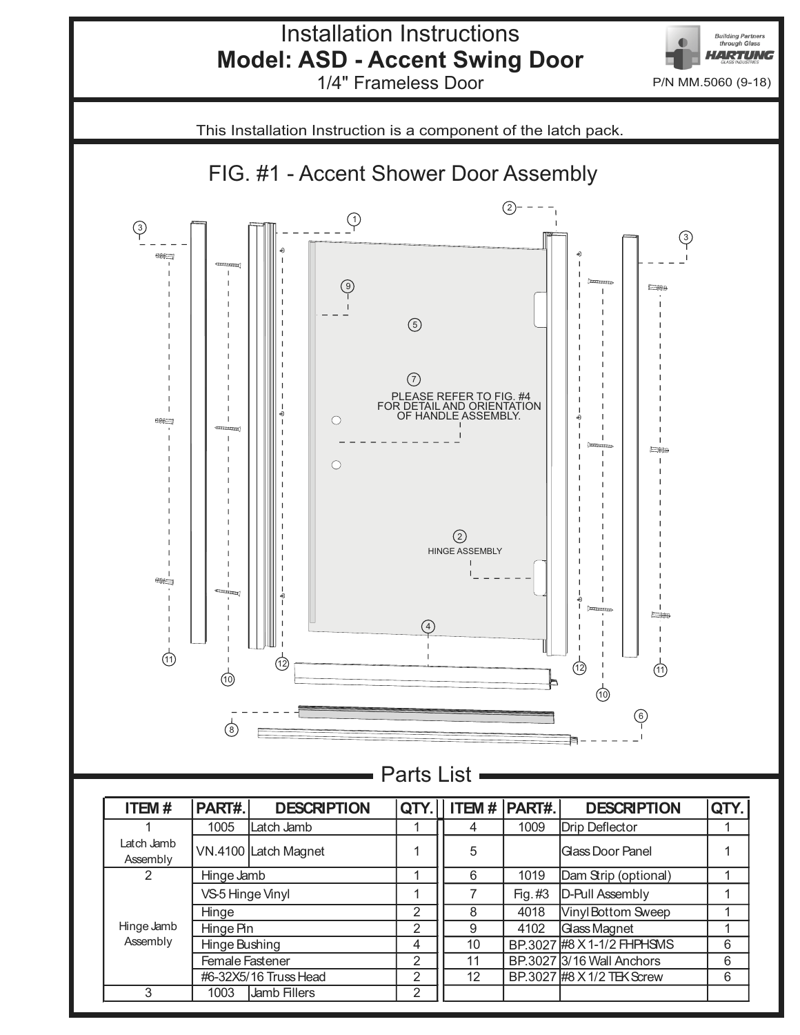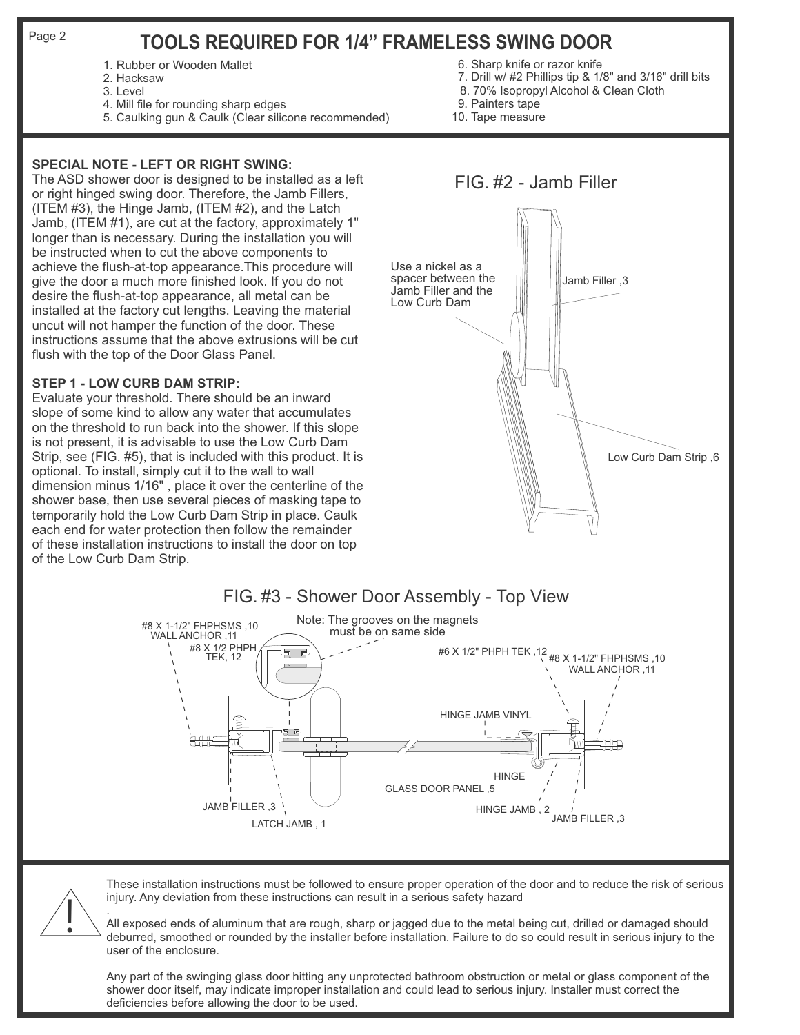Page 2

# **TOOLS REQUIRED FOR 1/4" FRAMELESS SWING DOOR**

- 1. Rubber or Wooden Mallet
- 2. Hacksaw
- 3. Level
- 4. Mill file for rounding sharp edges
- 5. Caulking gun & Caulk (Clear silicone recommended)

## **SPECIAL NOTE - LEFT OR RIGHT SWING:**

The ASD shower door is designed to be installed as a left or right hinged swing door. Therefore, the Jamb Fillers, (ITEM #3), the Hinge Jamb, (ITEM #2), and the Latch Jamb, (ITEM #1), are cut at the factory, approximately 1" longer than is necessary. During the installation you will be instructed when to cut the above components to achieve the flush-at-top appearance.This procedure will give the door a much more finished look. If you do not desire the flush-at-top appearance, all metal can be installed at the factory cut lengths. Leaving the material uncut will not hamper the function of the door. These instructions assume that the above extrusions will be cut flush with the top of the Door Glass Panel.

### **STEP 1 - LOW CURB DAM STRIP:**

Evaluate your threshold. There should be an inward slope of some kind to allow any water that accumulates on the threshold to run back into the shower. If this slope is not present, it is advisable to use the Low Curb Dam Strip, see (FIG. #5), that is included with this product. It is optional. To install, simply cut it to the wall to wall dimension minus 1/16" , place it over the centerline of the shower base, then use several pieces of masking tape to temporarily hold the Low Curb Dam Strip in place. Caulk each end for water protection then follow the remainder of these installation instructions to install the door on top of the Low Curb Dam Strip.



These installation instructions must be followed to ensure proper operation of the door and to reduce the risk of serious injury. Any deviation from these instructions can result in a serious safety hazard

. All exposed ends of aluminum that are rough, sharp or jagged due to the metal being cut, drilled or damaged should deburred, smoothed or rounded by the installer before installation. Failure to do so could result in serious injury to the user of the enclosure.

Any part of the swinging glass door hitting any unprotected bathroom obstruction or metal or glass component of the shower door itself, may indicate improper installation and could lead to serious injury. Installer must correct the deficiencies before allowing the door to be used.

# 6. Sharp knife or razor knife

- 7. Drill w/ #2 Phillips tip & 1/8" and 3/16" drill bits
- 8. 70% Isopropyl Alcohol & Clean Cloth
- 9. Painters tape
- 10. Tape measure



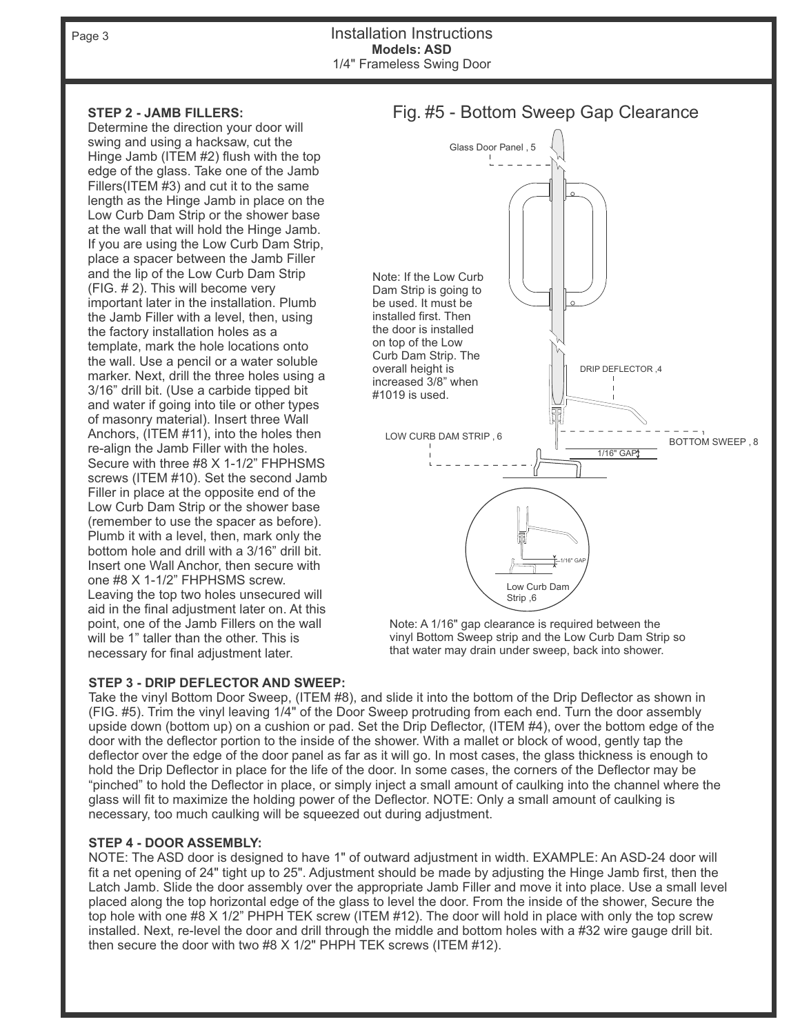Page 3

Installation Instructions 1/4" Frameless Swing Door **Models: ASD**

### **STEP 2 - JAMB FILLERS:**

Determine the direction your door will swing and using a hacksaw, cut the Hinge Jamb (ITEM #2) flush with the top edge of the glass. Take one of the Jamb Fillers(ITEM #3) and cut it to the same length as the Hinge Jamb in place on the Low Curb Dam Strip or the shower base at the wall that will hold the Hinge Jamb. If you are using the Low Curb Dam Strip, place a spacer between the Jamb Filler and the lip of the Low Curb Dam Strip (FIG. # 2). This will become very important later in the installation. Plumb the Jamb Filler with a level, then, using the factory installation holes as a template, mark the hole locations onto the wall. Use a pencil or a water soluble marker. Next, drill the three holes using a 3/16" drill bit. (Use a carbide tipped bit and water if going into tile or other types of masonry material). Insert three Wall Anchors, (ITEM #11), into the holes then re-align the Jamb Filler with the holes. Secure with three #8 X 1-1/2" FHPHSMS screws (ITEM #10). Set the second Jamb Filler in place at the opposite end of the Low Curb Dam Strip or the shower base (remember to use the spacer as before). Plumb it with a level, then, mark only the bottom hole and drill with a 3/16" drill bit. Insert one Wall Anchor, then secure with one #8 X 1-1/2" FHPHSMS screw. Leaving the top two holes unsecured will aid in the final adjustment later on. At this point, one of the Jamb Fillers on the wall will be 1" taller than the other. This is necessary for final adjustment later.

# Note: If the Low Curb Dam Strip is going to be used. It must be installed first. Then the door is installed on top of the Low Curb Dam Strip. The overall height is increased 3/8" when #1019 is used. LOW CURB DAM STRIP , 6 1/16" GAP DRIP DEFLECTOR ,4 BOTTOM SWEEP , 8 Glass Door Panel , 5 Low Curb Dam Strip ,6 1/16" GAP

Note: A 1/16" gap clearance is required between the vinyl Bottom Sweep strip and the Low Curb Dam Strip so that water may drain under sweep, back into shower.

### **STEP 3 - DRIP DEFLECTOR AND SWEEP:**

Take the vinyl Bottom Door Sweep, (ITEM #8), and slide it into the bottom of the Drip Deflector as shown in (FIG. #5). Trim the vinyl leaving 1/4" of the Door Sweep protruding from each end. Turn the door assembly upside down (bottom up) on a cushion or pad. Set the Drip Deflector, (ITEM #4), over the bottom edge of the door with the deflector portion to the inside of the shower. With a mallet or block of wood, gently tap the deflector over the edge of the door panel as far as it will go. In most cases, the glass thickness is enough to hold the Drip Deflector in place for the life of the door. In some cases, the corners of the Deflector may be "pinched" to hold the Deflector in place, or simply inject a small amount of caulking into the channel where the glass will fit to maximize the holding power of the Deflector. NOTE: Only a small amount of caulking is necessary, too much caulking will be squeezed out during adjustment.

### **STEP 4 - DOOR ASSEMBLY:**

NOTE: The ASD door is designed to have 1" of outward adjustment in width. EXAMPLE: An ASD-24 door will fit a net opening of 24" tight up to 25". Adjustment should be made by adjusting the Hinge Jamb first, then the Latch Jamb. Slide the door assembly over the appropriate Jamb Filler and move it into place. Use a small level placed along the top horizontal edge of the glass to level the door. From the inside of the shower, Secure the top hole with one #8 X 1/2" PHPH TEK screw (ITEM #12). The door will hold in place with only the top screw installed. Next, re-level the door and drill through the middle and bottom holes with a #32 wire gauge drill bit. then secure the door with two #8 X 1/2" PHPH TEK screws (ITEM #12).

# Fig. #5 - Bottom Sweep Gap Clearance